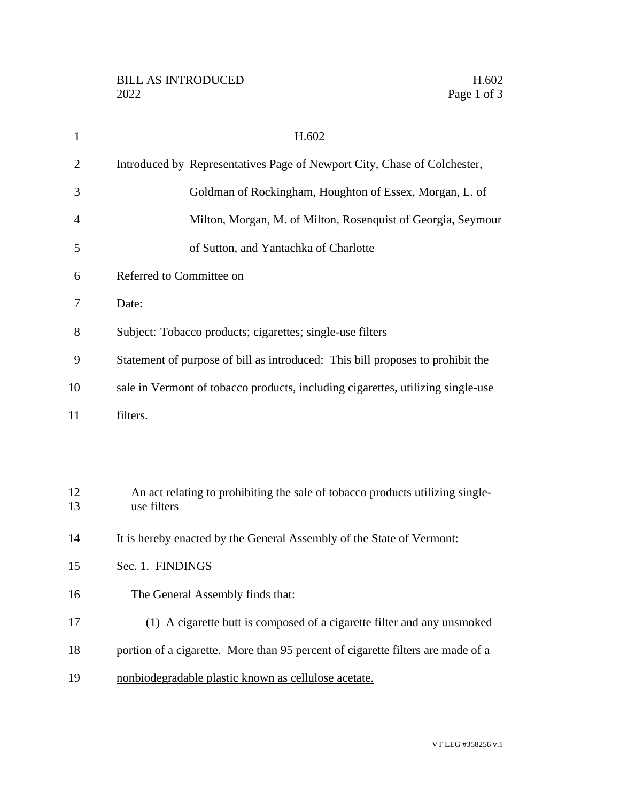| 1              | H.602                                                                                        |
|----------------|----------------------------------------------------------------------------------------------|
| $\overline{2}$ | Introduced by Representatives Page of Newport City, Chase of Colchester,                     |
| 3              | Goldman of Rockingham, Houghton of Essex, Morgan, L. of                                      |
| 4              | Milton, Morgan, M. of Milton, Rosenquist of Georgia, Seymour                                 |
| 5              | of Sutton, and Yantachka of Charlotte                                                        |
| 6              | Referred to Committee on                                                                     |
| 7              | Date:                                                                                        |
| 8              | Subject: Tobacco products; cigarettes; single-use filters                                    |
| 9              | Statement of purpose of bill as introduced: This bill proposes to prohibit the               |
| 10             | sale in Vermont of tobacco products, including cigarettes, utilizing single-use              |
| 11             | filters.                                                                                     |
|                |                                                                                              |
|                |                                                                                              |
| 12<br>13       | An act relating to prohibiting the sale of tobacco products utilizing single-<br>use filters |
| 14             | It is hereby enacted by the General Assembly of the State of Vermont:                        |
| 15             | Sec. 1. FINDINGS                                                                             |
| 16             | The General Assembly finds that:                                                             |
| 17             | (1) A cigarette butt is composed of a cigarette filter and any unsmoked                      |
| 18             | portion of a cigarette. More than 95 percent of cigarette filters are made of a              |
| 19             | nonbiodegradable plastic known as cellulose acetate.                                         |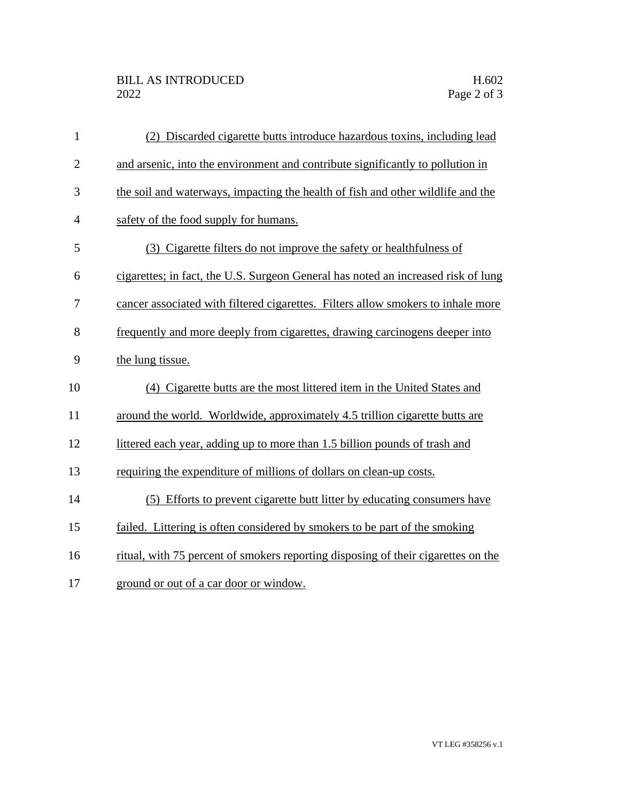| $\mathbf{1}$   | (2) Discarded cigarette butts introduce hazardous toxins, including lead          |
|----------------|-----------------------------------------------------------------------------------|
| $\overline{2}$ | and arsenic, into the environment and contribute significantly to pollution in    |
| 3              | the soil and waterways, impacting the health of fish and other wildlife and the   |
| $\overline{4}$ | safety of the food supply for humans.                                             |
| 5              | (3) Cigarette filters do not improve the safety or healthfulness of               |
| 6              | cigarettes; in fact, the U.S. Surgeon General has noted an increased risk of lung |
| 7              | cancer associated with filtered cigarettes. Filters allow smokers to inhale more  |
| 8              | frequently and more deeply from cigarettes, drawing carcinogens deeper into       |
| 9              | the lung tissue.                                                                  |
| 10             | (4) Cigarette butts are the most littered item in the United States and           |
| 11             | around the world. Worldwide, approximately 4.5 trillion cigarette butts are       |
| 12             | littered each year, adding up to more than 1.5 billion pounds of trash and        |
| 13             | requiring the expenditure of millions of dollars on clean-up costs.               |
| 14             | (5) Efforts to prevent cigarette butt litter by educating consumers have          |
| 15             | failed. Littering is often considered by smokers to be part of the smoking        |
| 16             | ritual, with 75 percent of smokers reporting disposing of their cigarettes on the |
| 17             | ground or out of a car door or window.                                            |